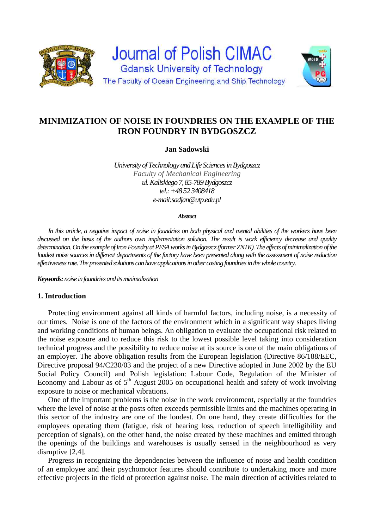



**Jan Sadowski** 

*University of Technology and Life Sciences in Bydgoszcz Faculty of Mechanical Engineering ul. Kaliskiego 7, 85-789 Bydgoszcz tel.: +48 52 3408418 e-mail:sadjan@utp.edu.pl* 

#### *Abstract*

*In this article, a negative impact of noise in foundries on both physical and mental abilities of the workers have been discussed on the basis of the authors own implementation solution. The result is work efficiency decrease and quality determination. On the example of Iron Foundry at PESA works in Bydgoszcz (former ZNTK). The effects of minimalization of the loudest noise sources in different departments of the factory have been presented along with the assessment of noise reduction effectiveness rate. The presented solutions can have applications in other casting foundries in the whole country.* 

*Keywords: noise in foundries and its minimalization* 

## **1. Introduction**

Protecting environment against all kinds of harmful factors, including noise, is a necessity of our times. Noise is one of the factors of the environment which in a significant way shapes living and working conditions of human beings. An obligation to evaluate the occupational risk related to the noise exposure and to reduce this risk to the lowest possible level taking into consideration technical progress and the possibility to reduce noise at its source is one of the main obligations of an employer. The above obligation results from the European legislation (Directive 86/188/EEC, Directive proposal 94/C230/03 and the project of a new Directive adopted in June 2002 by the EU Social Policy Council) and Polish legislation: Labour Code, Regulation of the Minister of Economy and Labour as of  $5<sup>th</sup>$  August 2005 on occupational health and safety of work involving exposure to noise or mechanical vibrations.

One of the important problems is the noise in the work environment, especially at the foundries where the level of noise at the posts often exceeds permissible limits and the machines operating in this sector of the industry are one of the loudest. On one hand, they create difficulties for the employees operating them (fatigue, risk of hearing loss, reduction of speech intelligibility and perception of signals), on the other hand, the noise created by these machines and emitted through the openings of the buildings and warehouses is usually sensed in the neighbourhood as very disruptive [2,4].

Progress in recognizing the dependencies between the influence of noise and health condition of an employee and their psychomotor features should contribute to undertaking more and more effective projects in the field of protection against noise. The main direction of activities related to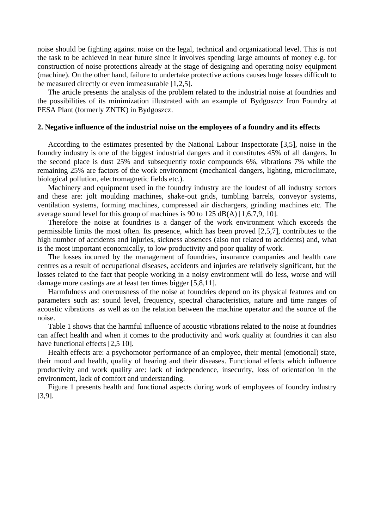noise should be fighting against noise on the legal, technical and organizational level. This is not the task to be achieved in near future since it involves spending large amounts of money e.g. for construction of noise protections already at the stage of designing and operating noisy equipment (machine). On the other hand, failure to undertake protective actions causes huge losses difficult to be measured directly or even immeasurable [1,2,5].

The article presents the analysis of the problem related to the industrial noise at foundries and the possibilities of its minimization illustrated with an example of Bydgoszcz Iron Foundry at PESA Plant (formerly ZNTK) in Bydgoszcz.

### **2. Negative influence of the industrial noise on the employees of a foundry and its effects**

According to the estimates presented by the National Labour Inspectorate [3,5], noise in the foundry industry is one of the biggest industrial dangers and it constitutes 45% of all dangers. In the second place is dust 25% and subsequently toxic compounds 6%, vibrations 7% while the remaining 25% are factors of the work environment (mechanical dangers, lighting, microclimate, biological pollution, electromagnetic fields etc.).

Machinery and equipment used in the foundry industry are the loudest of all industry sectors and these are: jolt moulding machines, shake-out grids, tumbling barrels, conveyor systems, ventilation systems, forming machines, compressed air dischargers, grinding machines etc. The average sound level for this group of machines is 90 to 125 dB(A) [1,6,7,9, 10].

Therefore the noise at foundries is a danger of the work environment which exceeds the permissible limits the most often. Its presence, which has been proved [2,5,7], contributes to the high number of accidents and injuries, sickness absences (also not related to accidents) and, what is the most important economically, to low productivity and poor quality of work.

The losses incurred by the management of foundries, insurance companies and health care centres as a result of occupational diseases, accidents and injuries are relatively significant, but the losses related to the fact that people working in a noisy environment will do less, worse and will damage more castings are at least ten times bigger [5,8,11].

Harmfulness and onerousness of the noise at foundries depend on its physical features and on parameters such as: sound level, frequency, spectral characteristics, nature and time ranges of acoustic vibrations as well as on the relation between the machine operator and the source of the noise.

Table 1 shows that the harmful influence of acoustic vibrations related to the noise at foundries can affect health and when it comes to the productivity and work quality at foundries it can also have functional effects [2,5 10].

Health effects are: a psychomotor performance of an employee, their mental (emotional) state, their mood and health, quality of hearing and their diseases. Functional effects which influence productivity and work quality are: lack of independence, insecurity, loss of orientation in the environment, lack of comfort and understanding.

Figure 1 presents health and functional aspects during work of employees of foundry industry [3,9].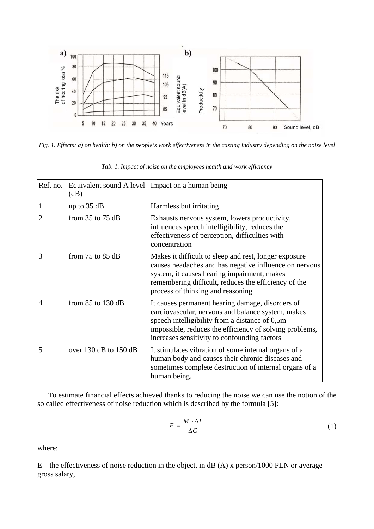

*Fig. 1. Effects: a) on health; b) on the people's work effectiveness in the casting industry depending on the noise level* 

| Ref. no. | (dB)                      | Equivalent sound A level   Impact on a human being                                                                                                                                                                                                                 |
|----------|---------------------------|--------------------------------------------------------------------------------------------------------------------------------------------------------------------------------------------------------------------------------------------------------------------|
|          | up to $35 dB$             | Harmless but irritating                                                                                                                                                                                                                                            |
|          | from $35$ to $75$ dB      | Exhausts nervous system, lowers productivity,<br>influences speech intelligibility, reduces the<br>effectiveness of perception, difficulties with<br>concentration                                                                                                 |
| 3        | from $75$ to $85$ dB      | Makes it difficult to sleep and rest, longer exposure<br>causes headaches and has negative influence on nervous<br>system, it causes hearing impairment, makes<br>remembering difficult, reduces the efficiency of the<br>process of thinking and reasoning        |
| 4        | from $85$ to 130 dB       | It causes permanent hearing damage, disorders of<br>cardiovascular, nervous and balance system, makes<br>speech intelligibility from a distance of 0,5m<br>impossible, reduces the efficiency of solving problems,<br>increases sensitivity to confounding factors |
| 5        | over $130$ dB to $150$ dB | It stimulates vibration of some internal organs of a<br>human body and causes their chronic diseases and<br>sometimes complete destruction of internal organs of a<br>human being.                                                                                 |

*Tab. 1. Impact of noise on the employees health and work efficiency* 

To estimate financial effects achieved thanks to reducing the noise we can use the notion of the so called effectiveness of noise reduction which is described by the formula [5]:

$$
E = \frac{M \cdot \Delta L}{\Delta C} \tag{1}
$$

where:

E – the effectiveness of noise reduction in the object, in dB (A) x person/1000 PLN or average gross salary,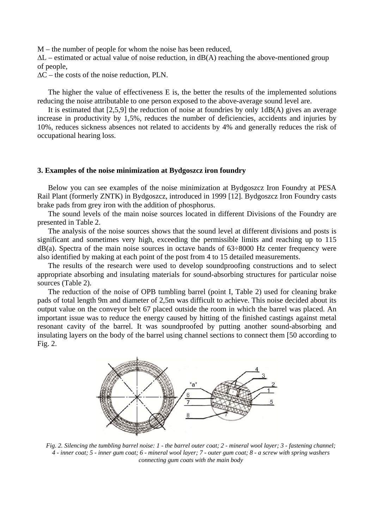M – the number of people for whom the noise has been reduced,

∆L – estimated or actual value of noise reduction, in dB(A) reaching the above-mentioned group of people,

∆C – the costs of the noise reduction, PLN.

The higher the value of effectiveness E is, the better the results of the implemented solutions reducing the noise attributable to one person exposed to the above-average sound level are.

It is estimated that [2,5,9] the reduction of noise at foundries by only 1dB(A) gives an average increase in productivity by 1,5%, reduces the number of deficiencies, accidents and injuries by 10%, reduces sickness absences not related to accidents by 4% and generally reduces the risk of occupational hearing loss.

#### **3. Examples of the noise minimization at Bydgoszcz iron foundry**

Below you can see examples of the noise minimization at Bydgoszcz Iron Foundry at PESA Rail Plant (formerly ZNTK) in Bydgoszcz, introduced in 1999 [12]. Bydgoszcz Iron Foundry casts brake pads from grey iron with the addition of phosphorus.

The sound levels of the main noise sources located in different Divisions of the Foundry are presented in Table 2.

The analysis of the noise sources shows that the sound level at different divisions and posts is significant and sometimes very high, exceeding the permissible limits and reaching up to 115  $dB(a)$ . Spectra of the main noise sources in octave bands of  $63\div 8000$  Hz center frequency were also identified by making at each point of the post from 4 to 15 detailed measurements.

The results of the research were used to develop soundproofing constructions and to select appropriate absorbing and insulating materials for sound-absorbing structures for particular noise sources (Table 2).

The reduction of the noise of OPB tumbling barrel (point I, Table 2) used for cleaning brake pads of total length 9m and diameter of 2,5m was difficult to achieve. This noise decided about its output value on the conveyor belt 67 placed outside the room in which the barrel was placed. An important issue was to reduce the energy caused by hitting of the finished castings against metal resonant cavity of the barrel. It was soundproofed by putting another sound-absorbing and insulating layers on the body of the barrel using channel sections to connect them [50 according to Fig. 2.



*Fig. 2. Silencing the tumbling barrel noise: 1 - the barrel outer coat; 2 - mineral wool layer; 3 - fastening channel; 4 - inner coat; 5 - inner gum coat; 6 - mineral wool layer; 7 - outer gum coat; 8 - a screw with spring washers connecting gum coats with the main body*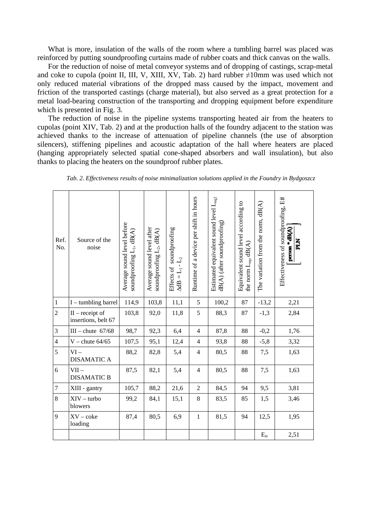What is more, insulation of the walls of the room where a tumbling barrel was placed was reinforced by putting soundproofing curtains made of rubber coats and thick canvas on the walls.

For the reduction of noise of metal conveyor systems and of dropping of castings, scrap-metal and coke to cupola (point II, III, V, XIII, XV, Tab. 2) hard rubber  $\neq 10$ mm was used which not only reduced material vibrations of the dropped mass caused by the impact, movement and friction of the transported castings (charge material), but also served as a great protection for a metal load-bearing construction of the transporting and dropping equipment before expenditure which is presented in Fig. 3.

The reduction of noise in the pipeline systems transporting heated air from the heaters to cupolas (point XIV, Tab. 2) and at the production halls of the foundry adjacent to the station was achieved thanks to the increase of attenuation of pipeline channels (the use of absorption silencers), stiffening pipelines and acoustic adaptation of the hall where heaters are placed (hanging appropriately selected spatial cone-shaped absorbers and wall insulation), but also thanks to placing the heaters on the soundproof rubber plates.

| Ref.<br>No.    | Source of the<br>noise                   | Average sound level before<br>soundproofing $L_1$ , dB(A) | Average sound level after<br>soundproofing $L_2$ , dB(A) | Effects of soundproofing<br>$\Delta dB = L_1 - L_2$ | Runtime of a device per shift in hours | Estimated equivalent sound level $L_{eq2}$<br>dB(A) (after soundproofing) | Equivalent sound level according to<br>the norm $L_{eq}$ , $dB(A)$ | The variation from the norm, dB(A) | Effectiveness of soundproofing, E#<br>person * dB(A)<br>PLN |
|----------------|------------------------------------------|-----------------------------------------------------------|----------------------------------------------------------|-----------------------------------------------------|----------------------------------------|---------------------------------------------------------------------------|--------------------------------------------------------------------|------------------------------------|-------------------------------------------------------------|
| $\mathbf{1}$   | $I$ – tumbling barrel                    | 114,9                                                     | 103,8                                                    | 11,1                                                | $\sqrt{5}$                             | 100,2                                                                     | 87                                                                 | $-13,2$                            | 2,21                                                        |
| $\overline{2}$ | $II -$ receipt of<br>insertions, belt 67 | 103,8                                                     | 92,0                                                     | 11,8                                                | 5                                      | 88,3                                                                      | 87                                                                 | $-1,3$                             | 2,84                                                        |
| 3              | III - chute $67/68$                      | 98,7                                                      | 92,3                                                     | 6,4                                                 | $\overline{4}$                         | 87,8                                                                      | 88                                                                 | $-0,2$                             | 1,76                                                        |
| $\overline{4}$ | $V$ – chute $64/65$                      | 107,5                                                     | 95,1                                                     | 12,4                                                | $\overline{4}$                         | 93,8                                                                      | 88                                                                 | $-5,8$                             | 3,32                                                        |
| 5              | $VI -$<br><b>DISAMATIC A</b>             | 88,2                                                      | 82,8                                                     | 5,4                                                 | $\overline{4}$                         | 80,5                                                                      | 88                                                                 | 7,5                                | 1,63                                                        |
| 6              | $VII -$<br><b>DISAMATIC B</b>            | 87,5                                                      | 82,1                                                     | 5,4                                                 | $\overline{4}$                         | 80,5                                                                      | 88                                                                 | 7,5                                | 1,63                                                        |
| $\overline{7}$ | XIII - gantry                            | 105,7                                                     | 88,2                                                     | 21,6                                                | $\overline{2}$                         | 84,5                                                                      | 94                                                                 | 9,5                                | 3,81                                                        |
| 8              | $XIV - turbo$<br>blowers                 | 99,2                                                      | 84,1                                                     | 15,1                                                | 8                                      | 83,5                                                                      | 85                                                                 | 1,5                                | 3,46                                                        |
| 9              | $XV - \csc$<br>loading                   | 87,4                                                      | 80,5                                                     | 6,9                                                 | $\,1$                                  | 81,5                                                                      | 94                                                                 | 12,5                               | 1,95                                                        |
|                |                                          |                                                           |                                                          |                                                     |                                        |                                                                           |                                                                    | $E_{\rm sr}$                       | 2,51                                                        |

*Tab. 2. Effectiveness results of noise minimalization solutions applied in the Foundry in Bydgoszcz*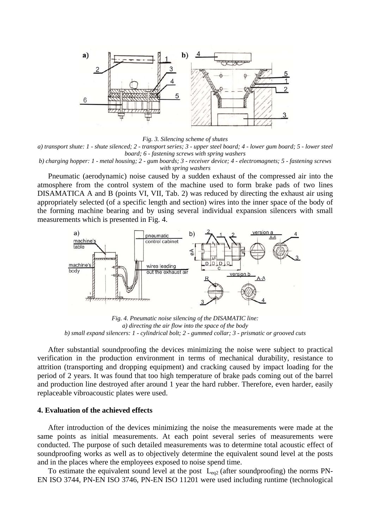

*Fig. 3. Silencing scheme of shutes* 

*a) transport shute: 1 - shute silenced; 2 - transport series; 3 - upper steel board; 4 - lower gum board; 5 - lower steel board; 6 - fastening screws with spring washers* 

*b) charging hopper: 1 - metal housing; 2 - gum boards; 3 - receiver device; 4 - electromagnets; 5 - fastening screws with spring washers* 

Pneumatic (aerodynamic) noise caused by a sudden exhaust of the compressed air into the atmosphere from the control system of the machine used to form brake pads of two lines DISAMATICA A and B (points VI, VII, Tab. 2) was reduced by directing the exhaust air using appropriately selected (of a specific length and section) wires into the inner space of the body of the forming machine bearing and by using several individual expansion silencers with small measurements which is presented in Fig. 4.



*Fig. 4. Pneumatic noise silencing of the DISAMATIC line: a) directing the air flow into the space of the body b) small expand silencers: 1 - cylindrical bolt; 2 - gummed collar; 3 - prismatic or grooved cuts* 

After substantial soundproofing the devices minimizing the noise were subject to practical verification in the production environment in terms of mechanical durability, resistance to attrition (transporting and dropping equipment) and cracking caused by impact loading for the period of 2 years. It was found that too high temperature of brake pads coming out of the barrel and production line destroyed after around 1 year the hard rubber. Therefore, even harder, easily replaceable vibroacoustic plates were used.

# **4. Evaluation of the achieved effects**

After introduction of the devices minimizing the noise the measurements were made at the same points as initial measurements. At each point several series of measurements were conducted. The purpose of such detailed measurements was to determine total acoustic effect of soundproofing works as well as to objectively determine the equivalent sound level at the posts and in the places where the employees exposed to noise spend time.

To estimate the equivalent sound level at the post  $L_{eq2}$  (after soundproofing) the norms PN-EN ISO 3744, PN-EN ISO 3746, PN-EN ISO 11201 were used including runtime (technological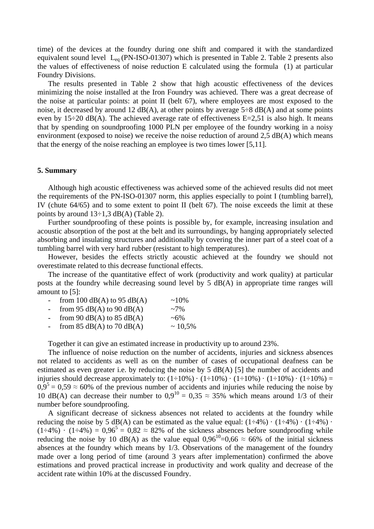time) of the devices at the foundry during one shift and compared it with the standardized equivalent sound level  $L_{eq}$  (PN-ISO-01307) which is presented in Table 2. Table 2 presents also the values of effectiveness of noise reduction E calculated using the formula (1) at particular Foundry Divisions.

The results presented in Table 2 show that high acoustic effectiveness of the devices minimizing the noise installed at the Iron Foundry was achieved. There was a great decrease of the noise at particular points: at point II (belt 67), where employees are most exposed to the noise, it decreased by around 12  $dB(A)$ , at other points by average 5÷8  $dB(A)$  and at some points even by  $15\div 20$  dB(A). The achieved average rate of effectiveness E=2,51 is also high. It means that by spending on soundproofing 1000 PLN per employee of the foundry working in a noisy environment (exposed to noise) we receive the noise reduction of around  $2.5 \text{ dB}(A)$  which means that the energy of the noise reaching an employee is two times lower [5,11].

### **5. Summary**

Although high acoustic effectiveness was achieved some of the achieved results did not meet the requirements of the PN-ISO-01307 norm, this applies especially to point I (tumbling barrel), IV (chute 64/65) and to some extent to point II (belt 67). The noise exceeds the limit at these points by around  $13\div 1,3$  dB(A) (Table 2).

Further soundproofing of these points is possible by, for example, increasing insulation and acoustic absorption of the post at the belt and its surroundings, by hanging appropriately selected absorbing and insulating structures and additionally by covering the inner part of a steel coat of a tumbling barrel with very hard rubber (resistant to high temperatures).

However, besides the effects strictly acoustic achieved at the foundry we should not overestimate related to this decrease functional effects.

The increase of the quantitative effect of work (productivity and work quality) at particular posts at the foundry while decreasing sound level by 5 dB(A) in appropriate time ranges will amount to [5]:

| $\overline{a}$ | from 100 $dB(A)$ to 95 $dB(A)$ | $~10\%$   |
|----------------|--------------------------------|-----------|
| $\sim$ $-$     | from 95 $dB(A)$ to 90 $dB(A)$  | $~1.7\%$  |
| $\sim$         | from 90 $dB(A)$ to 85 $dB(A)$  | $~1.6\%$  |
| $\sim$         | from 85 $dB(A)$ to 70 $dB(A)$  | $~10.5\%$ |

Together it can give an estimated increase in productivity up to around 23%.

The influence of noise reduction on the number of accidents, injuries and sickness absences not related to accidents as well as on the number of cases of occupational deafness can be estimated as even greater i.e. by reducing the noise by  $5 \text{ dB}(A)$  [5] the number of accidents and injuries should decrease approximately to:  $(1\div 10\%) \cdot (1\div 10\%) \cdot (1\div 10\%) \cdot (1\div 10\%) =$  $0.9<sup>5</sup> = 0.59 \approx 60\%$  of the previous number of accidents and injuries while reducing the noise by 10 dB(A) can decrease their number to  $0.9^{10} = 0.35 \approx 35\%$  which means around 1/3 of their number before soundproofing.

A significant decrease of sickness absences not related to accidents at the foundry while reducing the noise by 5 dB(A) can be estimated as the value equal:  $(1\div 4\%) \cdot (1\div 4\%) \cdot$  $(1\div 4\%) \cdot (1\div 4\%) = 0.96^5 = 0.82 \approx 82\%$  of the sickness absences before soundproofing while reducing the noise by 10 dB(A) as the value equal  $0.96^{10} = 0.66 \approx 66\%$  of the initial sickness absences at the foundry which means by 1/3. Observations of the management of the foundry made over a long period of time (around 3 years after implementation) confirmed the above estimations and proved practical increase in productivity and work quality and decrease of the accident rate within 10% at the discussed Foundry.